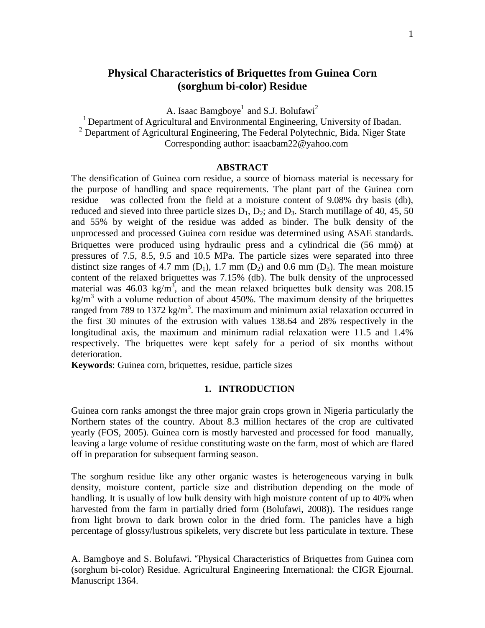# **Physical Characteristics of Briquettes from Guinea Corn (sorghum bi-color) Residue**

A. Isaac Bamgboye<sup>1</sup> and S.J. Bolufawi<sup>2</sup>

<sup>1</sup> Department of Agricultural and Environmental Engineering, University of Ibadan.  $2$  Department of Agricultural Engineering, The Federal Polytechnic, Bida. Niger State Corresponding author: isaacbam22@yahoo.com

### **ABSTRACT**

The densification of Guinea corn residue, a source of biomass material is necessary for the purpose of handling and space requirements. The plant part of the Guinea corn residue was collected from the field at a moisture content of 9.08% dry basis (db), reduced and sieved into three particle sizes  $D_1$ ,  $D_2$ ; and  $D_3$ . Starch mutillage of 40, 45, 50 and 55% by weight of the residue was added as binder. The bulk density of the unprocessed and processed Guinea corn residue was determined using ASAE standards. Briquettes were produced using hydraulic press and a cylindrical die (56 mm $\phi$ ) at pressures of 7.5, 8.5, 9.5 and 10.5 MPa. The particle sizes were separated into three distinct size ranges of 4.7 mm  $(D_1)$ , 1.7 mm  $(D_2)$  and 0.6 mm  $(D_3)$ . The mean moisture content of the relaxed briquettes was 7.15% (db). The bulk density of the unprocessed material was  $46.03 \text{ kg/m}^3$ , and the mean relaxed briquettes bulk density was 208.15 kg/m<sup>3</sup> with a volume reduction of about 450%. The maximum density of the briquettes ranged from 789 to 1372 kg/m<sup>3</sup>. The maximum and minimum axial relaxation occurred in the first 30 minutes of the extrusion with values 138.64 and 28% respectively in the longitudinal axis, the maximum and minimum radial relaxation were 11.5 and 1.4% respectively. The briquettes were kept safely for a period of six months without deterioration.

**Keywords**: Guinea corn, briquettes, residue, particle sizes

#### **1. INTRODUCTION**

Guinea corn ranks amongst the three major grain crops grown in Nigeria particularly the Northern states of the country. About 8.3 million hectares of the crop are cultivated yearly (FOS, 2005). Guinea corn is mostly harvested and processed for food manually, leaving a large volume of residue constituting waste on the farm, most of which are flared off in preparation for subsequent farming season.

The sorghum residue like any other organic wastes is heterogeneous varying in bulk density, moisture content, particle size and distribution depending on the mode of handling. It is usually of low bulk density with high moisture content of up to 40% when harvested from the farm in partially dried form (Bolufawi, 2008)). The residues range from light brown to dark brown color in the dried form. The panicles have a high percentage of glossy/lustrous spikelets, very discrete but less particulate in texture. These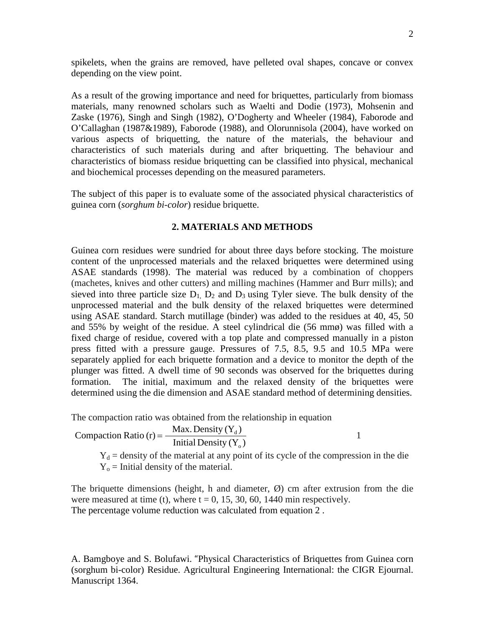spikelets, when the grains are removed, have pelleted oval shapes, concave or convex depending on the view point.

As a result of the growing importance and need for briquettes, particularly from biomass materials, many renowned scholars such as Waelti and Dodie (1973), Mohsenin and Zaske (1976), Singh and Singh (1982), O'Dogherty and Wheeler (1984), Faborode and O'Callaghan (1987&1989), Faborode (1988), and Olorunnisola (2004), have worked on various aspects of briquetting, the nature of the materials, the behaviour and characteristics of such materials during and after briquetting. The behaviour and characteristics of biomass residue briquetting can be classified into physical, mechanical and biochemical processes depending on the measured parameters.

The subject of this paper is to evaluate some of the associated physical characteristics of guinea corn (*sorghum bi-color*) residue briquette.

## **2. MATERIALS AND METHODS**

Guinea corn residues were sundried for about three days before stocking. The moisture content of the unprocessed materials and the relaxed briquettes were determined using ASAE standards (1998). The material was reduced by a combination of choppers (machetes, knives and other cutters) and milling machines (Hammer and Burr mills); and sieved into three particle size  $D_1$ ,  $D_2$  and  $D_3$  using Tyler sieve. The bulk density of the unprocessed material and the bulk density of the relaxed briquettes were determined using ASAE standard. Starch mutillage (binder) was added to the residues at 40, 45, 50 and 55% by weight of the residue. A steel cylindrical die (56 mmø) was filled with a fixed charge of residue, covered with a top plate and compressed manually in a piston press fitted with a pressure gauge. Pressures of 7.5, 8.5, 9.5 and 10.5 MPa were separately applied for each briquette formation and a device to monitor the depth of the plunger was fitted. A dwell time of 90 seconds was observed for the briquettes during formation. The initial, maximum and the relaxed density of the briquettes were determined using the die dimension and ASAE standard method of determining densities.

The compaction ratio was obtained from the relationship in equation

Initial Density  $(Y_0)$ Compaction Ratio (r) =  $\frac{\text{Max. Density} (Y_d)}{\frac{1}{2} + \frac{1}{2} + \frac{1}{2}}$ o  $=\frac{max. Density\left(1_d\right)}{1}$ 

 $Y_d$  = density of the material at any point of its cycle of the compression in the die  $Y_0$  = Initial density of the material.

The briquette dimensions (height, h and diameter,  $\varnothing$ ) cm after extrusion from the die were measured at time (t), where  $t = 0, 15, 30, 60, 1440$  min respectively. The percentage volume reduction was calculated from equation 2 .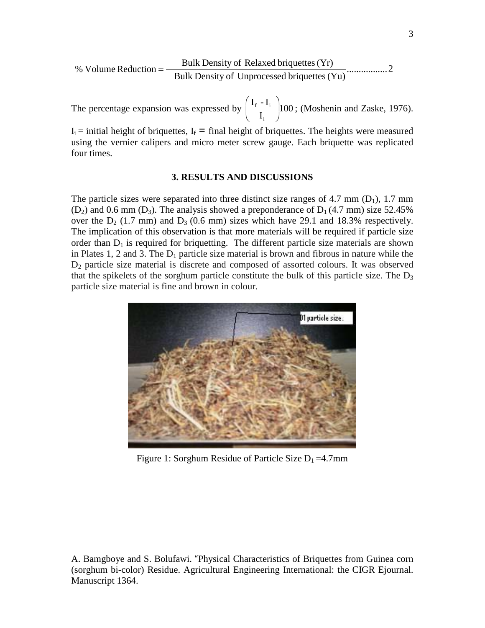$$
\% \text{ Volume Reduction} = \frac{\text{Bulk Density of Related brightness (Yr)}}{\text{Bulk Density of Unprocessed brightness (Yu)}} \dots \dots \dots \dots \dots \dots 2
$$

The percentage expansion was expressed by  $\frac{1 + \frac{1}{2}}{\frac{1}{2}}$  100 I  $\rm I_f$  -  $\rm I$ i  $\frac{f^{-1}i}{I}$ J  $\setminus$  $\overline{\phantom{a}}$  $\setminus$ ſ ; (Moshenin and Zaske, 1976).

 $I_i$  = initial height of briquettes,  $I_f$  = final height of briquettes. The heights were measured using the vernier calipers and micro meter screw gauge. Each briquette was replicated four times.

### **3. RESULTS AND DISCUSSIONS**

The particle sizes were separated into three distinct size ranges of 4.7 mm  $(D_1)$ , 1.7 mm  $(D_2)$  and 0.6 mm  $(D_3)$ . The analysis showed a preponderance of  $D_1$  (4.7 mm) size 52.45% over the  $D_2$  (1.7 mm) and  $D_3$  (0.6 mm) sizes which have 29.1 and 18.3% respectively. The implication of this observation is that more materials will be required if particle size order than  $D_1$  is required for briquetting. The different particle size materials are shown in Plates 1, 2 and 3. The  $D_1$  particle size material is brown and fibrous in nature while the D2 particle size material is discrete and composed of assorted colours. It was observed that the spikelets of the sorghum particle constitute the bulk of this particle size. The  $D_3$ particle size material is fine and brown in colour.



Figure 1: Sorghum Residue of Particle Size  $D_1 = 4.7$ mm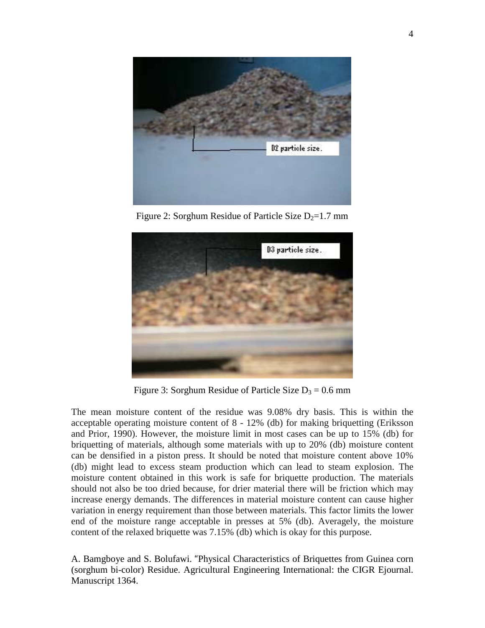

Figure 2: Sorghum Residue of Particle Size  $D_2=1.7$  mm



Figure 3: Sorghum Residue of Particle Size  $D_3 = 0.6$  mm

The mean moisture content of the residue was 9.08% dry basis. This is within the acceptable operating moisture content of 8 - 12% (db) for making briquetting (Eriksson and Prior, 1990). However, the moisture limit in most cases can be up to 15% (db) for briquetting of materials, although some materials with up to 20% (db) moisture content can be densified in a piston press. It should be noted that moisture content above 10% (db) might lead to excess steam production which can lead to steam explosion. The moisture content obtained in this work is safe for briquette production. The materials should not also be too dried because, for drier material there will be friction which may increase energy demands. The differences in material moisture content can cause higher variation in energy requirement than those between materials. This factor limits the lower end of the moisture range acceptable in presses at 5% (db). Averagely, the moisture content of the relaxed briquette was 7.15% (db) which is okay for this purpose.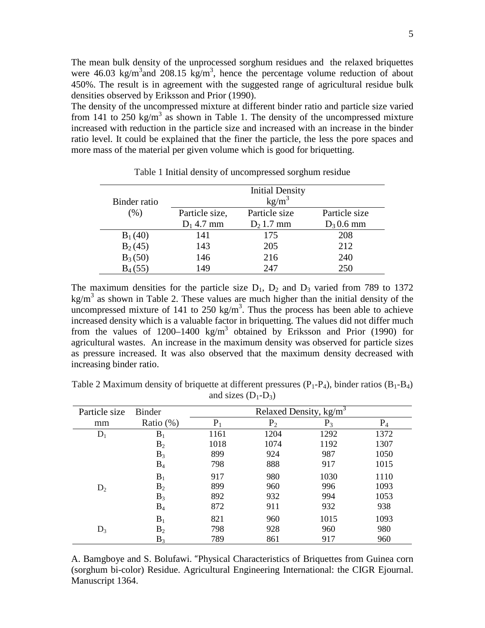The mean bulk density of the unprocessed sorghum residues and the relaxed briquettes were  $46.03 \text{ kg/m}^3$  and  $208.15 \text{ kg/m}^3$ , hence the percentage volume reduction of about 450%. The result is in agreement with the suggested range of agricultural residue bulk densities observed by Eriksson and Prior (1990).

The density of the uncompressed mixture at different binder ratio and particle size varied from 141 to 250 kg/m<sup>3</sup> as shown in Table 1. The density of the uncompressed mixture increased with reduction in the particle size and increased with an increase in the binder ratio level. It could be explained that the finer the particle, the less the pore spaces and more mass of the material per given volume which is good for briquetting.

| Binder ratio | <b>Initial Density</b><br>kg/m <sup>3</sup> |               |               |  |
|--------------|---------------------------------------------|---------------|---------------|--|
| (%)          | Particle size,                              | Particle size | Particle size |  |
|              | $D_1$ 4.7 mm                                | $D_2$ 1.7 mm  | $D_3$ 0.6 mm  |  |
| $B_1(40)$    | 141                                         | 175           | 208           |  |
| $B_2(45)$    | 143                                         | 205           | 212           |  |
| $B_3(50)$    | 146                                         | 216           | 240           |  |
| $B_4(55)$    | 149                                         | 247           | 250           |  |

Table 1 Initial density of uncompressed sorghum residue

The maximum densities for the particle size  $D_1$ ,  $D_2$  and  $D_3$  varied from 789 to 1372 kg/m<sup>3</sup> as shown in Table 2. These values are much higher than the initial density of the uncompressed mixture of 141 to 250 kg/m<sup>3</sup>. Thus the process has been able to achieve increased density which is a valuable factor in briquetting. The values did not differ much from the values of 1200–1400 kg/m<sup>3</sup> obtained by Eriksson and Prior (1990) for agricultural wastes. An increase in the maximum density was observed for particle sizes as pressure increased. It was also observed that the maximum density decreased with increasing binder ratio.

Table 2 Maximum density of briquette at different pressures  $(P_1-P_4)$ , binder ratios  $(B_1-B_4)$ and sizes  $(D_1-D_3)$ 

| Particle size | <b>Binder</b>  | Relaxed Density, $kg/m3$ |                |       |       |
|---------------|----------------|--------------------------|----------------|-------|-------|
| mm            | Ratio $(\%)$   | $P_1$                    | P <sub>2</sub> | $P_3$ | $P_4$ |
| $D_1$         | $B_1$          | 1161                     | 1204           | 1292  | 1372  |
|               | B <sub>2</sub> | 1018                     | 1074           | 1192  | 1307  |
|               | $B_3$          | 899                      | 924            | 987   | 1050  |
|               | $B_4$          | 798                      | 888            | 917   | 1015  |
|               | $B_1$          | 917                      | 980            | 1030  | 1110  |
| $D_2$         | B <sub>2</sub> | 899                      | 960            | 996   | 1093  |
|               | $B_3$          | 892                      | 932            | 994   | 1053  |
|               | $B_4$          | 872                      | 911            | 932   | 938   |
|               | $B_1$          | 821                      | 960            | 1015  | 1093  |
| $D_3$         | B <sub>2</sub> | 798                      | 928            | 960   | 980   |
|               | $B_3$          | 789                      | 861            | 917   | 960   |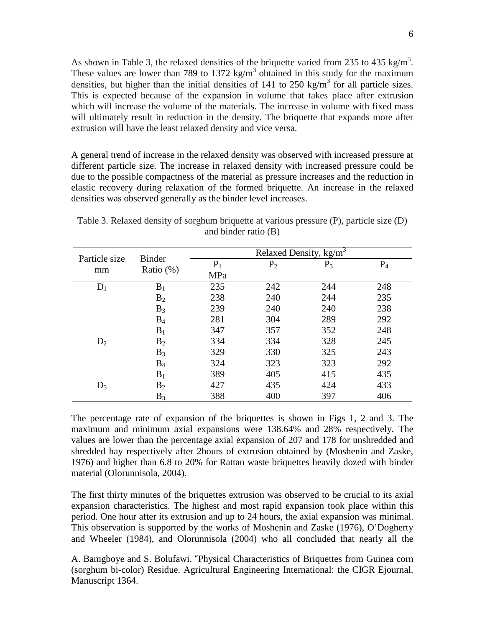As shown in Table 3, the relaxed densities of the briquette varied from 235 to 435 kg/m<sup>3</sup>. These values are lower than 789 to 1372 kg/m<sup>3</sup> obtained in this study for the maximum densities, but higher than the initial densities of 141 to 250 kg/m<sup>3</sup> for all particle sizes. This is expected because of the expansion in volume that takes place after extrusion which will increase the volume of the materials. The increase in volume with fixed mass will ultimately result in reduction in the density. The briquette that expands more after extrusion will have the least relaxed density and vice versa.

A general trend of increase in the relaxed density was observed with increased pressure at different particle size. The increase in relaxed density with increased pressure could be due to the possible compactness of the material as pressure increases and the reduction in elastic recovery during relaxation of the formed briquette. An increase in the relaxed densities was observed generally as the binder level increases.

| Particle size | <b>Binder</b><br>Ratio $(\%)$ | Relaxed Density, kg/m <sup>3</sup> |                |       |       |
|---------------|-------------------------------|------------------------------------|----------------|-------|-------|
| mm            |                               | $P_1$                              | P <sub>2</sub> | $P_3$ | $P_4$ |
|               |                               | MPa                                |                |       |       |
| $D_1$         | $B_1$                         | 235                                | 242            | 244   | 248   |
|               | B <sub>2</sub>                | 238                                | 240            | 244   | 235   |
|               | $B_3$                         | 239                                | 240            | 240   | 238   |
|               | $B_4$                         | 281                                | 304            | 289   | 292   |
|               | $B_1$                         | 347                                | 357            | 352   | 248   |
| $D_2$         | $B_2$                         | 334                                | 334            | 328   | 245   |
|               | $B_3$                         | 329                                | 330            | 325   | 243   |
|               | $B_4$                         | 324                                | 323            | 323   | 292   |
|               | $B_1$                         | 389                                | 405            | 415   | 435   |
| $D_3$         | B <sub>2</sub>                | 427                                | 435            | 424   | 433   |
|               | $B_3$                         | 388                                | 400            | 397   | 406   |

Table 3. Relaxed density of sorghum briquette at various pressure (P), particle size (D) and binder ratio (B)

The percentage rate of expansion of the briquettes is shown in Figs 1, 2 and 3. The maximum and minimum axial expansions were 138.64% and 28% respectively. The values are lower than the percentage axial expansion of 207 and 178 for unshredded and shredded hay respectively after 2hours of extrusion obtained by (Moshenin and Zaske, 1976) and higher than 6.8 to 20% for Rattan waste briquettes heavily dozed with binder material (Olorunnisola, 2004).

The first thirty minutes of the briquettes extrusion was observed to be crucial to its axial expansion characteristics. The highest and most rapid expansion took place within this period. One hour after its extrusion and up to 24 hours, the axial expansion was minimal. This observation is supported by the works of Moshenin and Zaske (1976), O'Dogherty and Wheeler (1984), and Olorunnisola (2004) who all concluded that nearly all the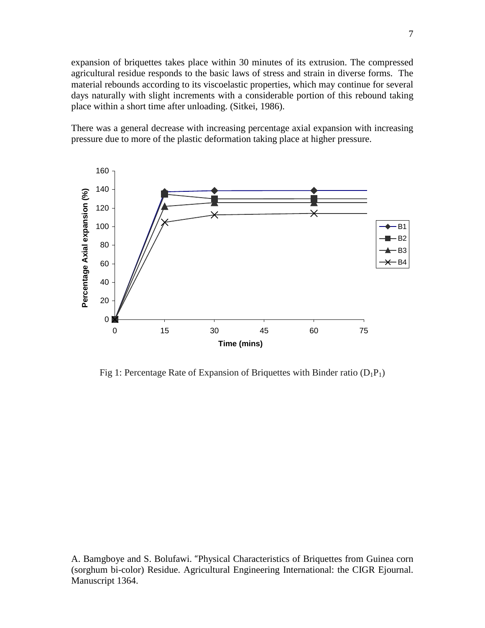expansion of briquettes takes place within 30 minutes of its extrusion. The compressed agricultural residue responds to the basic laws of stress and strain in diverse forms. The material rebounds according to its viscoelastic properties, which may continue for several days naturally with slight increments with a considerable portion of this rebound taking place within a short time after unloading. (Sitkei, 1986).

There was a general decrease with increasing percentage axial expansion with increasing pressure due to more of the plastic deformation taking place at higher pressure.



Fig 1: Percentage Rate of Expansion of Briquettes with Binder ratio  $(D_1P_1)$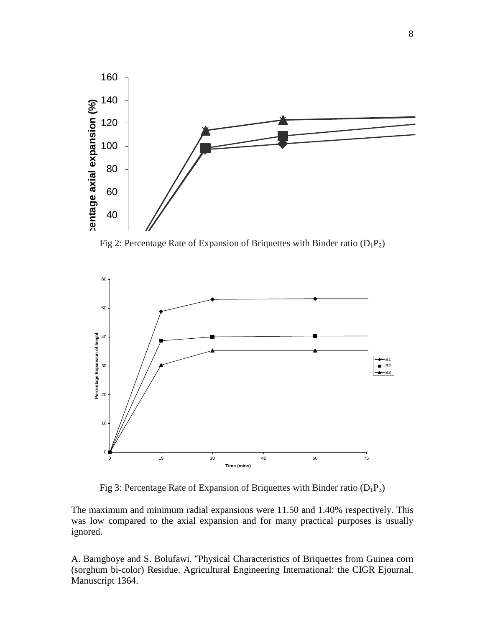

Fig 2: Percentage Rate of Expansion of Briquettes with Binder ratio  $(D_1P_2)$ 



Fig 3: Percentage Rate of Expansion of Briquettes with Binder ratio  $(D_1P_3)$ 

The maximum and minimum radial expansions were 11.50 and 1.40% respectively. This was low compared to the axial expansion and for many practical purposes is usually ignored.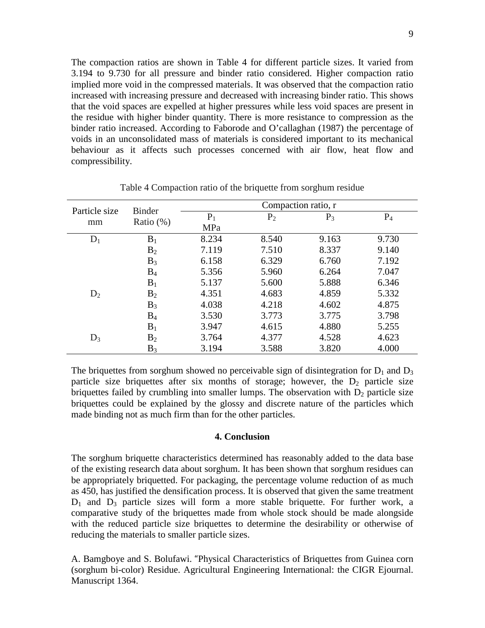The compaction ratios are shown in Table 4 for different particle sizes. It varied from 3.194 to 9.730 for all pressure and binder ratio considered. Higher compaction ratio implied more void in the compressed materials. It was observed that the compaction ratio increased with increasing pressure and decreased with increasing binder ratio. This shows that the void spaces are expelled at higher pressures while less void spaces are present in the residue with higher binder quantity. There is more resistance to compression as the binder ratio increased. According to Faborode and O'callaghan (1987) the percentage of voids in an unconsolidated mass of materials is considered important to its mechanical behaviour as it affects such processes concerned with air flow, heat flow and compressibility.

| Particle size | <b>Binder</b>  | Compaction ratio, r |       |       |       |
|---------------|----------------|---------------------|-------|-------|-------|
|               |                | $P_1$               | $P_2$ | $P_3$ | $P_4$ |
| mm            | Ratio $(\%)$   | MPa                 |       |       |       |
| $D_1$         | $B_1$          | 8.234               | 8.540 | 9.163 | 9.730 |
|               | $B_2$          | 7.119               | 7.510 | 8.337 | 9.140 |
|               | $B_3$          | 6.158               | 6.329 | 6.760 | 7.192 |
|               | $B_4$          | 5.356               | 5.960 | 6.264 | 7.047 |
|               | $B_1$          | 5.137               | 5.600 | 5.888 | 6.346 |
| $D_2$         | $B_2$          | 4.351               | 4.683 | 4.859 | 5.332 |
|               | $B_3$          | 4.038               | 4.218 | 4.602 | 4.875 |
|               | $B_4$          | 3.530               | 3.773 | 3.775 | 3.798 |
|               | $B_1$          | 3.947               | 4.615 | 4.880 | 5.255 |
| $D_3$         | B <sub>2</sub> | 3.764               | 4.377 | 4.528 | 4.623 |
|               | $B_3$          | 3.194               | 3.588 | 3.820 | 4.000 |

Table 4 Compaction ratio of the briquette from sorghum residue

The briquettes from sorghum showed no perceivable sign of disintegration for  $D_1$  and  $D_3$ particle size briquettes after six months of storage; however, the  $D_2$  particle size briquettes failed by crumbling into smaller lumps. The observation with  $D_2$  particle size briquettes could be explained by the glossy and discrete nature of the particles which made binding not as much firm than for the other particles.

#### **4. Conclusion**

The sorghum briquette characteristics determined has reasonably added to the data base of the existing research data about sorghum. It has been shown that sorghum residues can be appropriately briquetted. For packaging, the percentage volume reduction of as much as 450, has justified the densification process. It is observed that given the same treatment  $D_1$  and  $D_3$  particle sizes will form a more stable briquette. For further work, a comparative study of the briquettes made from whole stock should be made alongside with the reduced particle size briquettes to determine the desirability or otherwise of reducing the materials to smaller particle sizes.